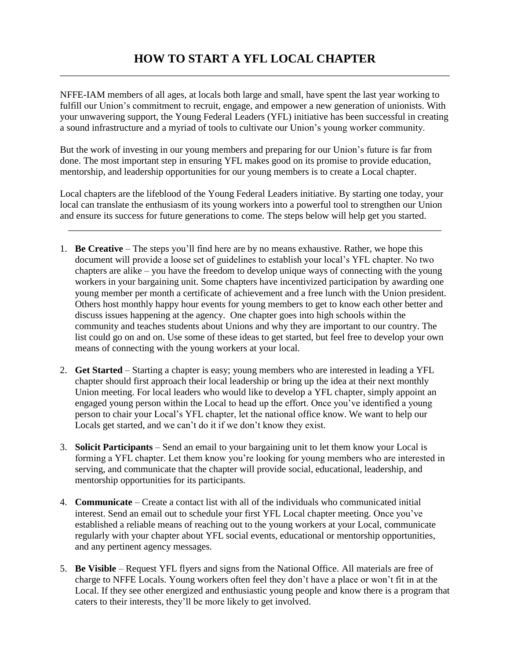NFFE-IAM members of all ages, at locals both large and small, have spent the last year working to fulfill our Union's commitment to recruit, engage, and empower a new generation of unionists. With your unwavering support, the Young Federal Leaders (YFL) initiative has been successful in creating a sound infrastructure and a myriad of tools to cultivate our Union's young worker community.

But the work of investing in our young members and preparing for our Union's future is far from done. The most important step in ensuring YFL makes good on its promise to provide education, mentorship, and leadership opportunities for our young members is to create a Local chapter.

Local chapters are the lifeblood of the Young Federal Leaders initiative. By starting one today, your local can translate the enthusiasm of its young workers into a powerful tool to strengthen our Union and ensure its success for future generations to come. The steps below will help get you started.

\_\_\_\_\_\_\_\_\_\_\_\_\_\_\_\_\_\_\_\_\_\_\_\_\_\_\_\_\_\_\_\_\_\_\_\_\_\_\_\_\_\_\_\_\_\_\_\_\_\_\_\_\_\_\_\_\_\_\_\_\_\_\_\_\_\_\_\_\_\_\_\_\_\_\_\_\_\_

- 1. **Be Creative** The steps you'll find here are by no means exhaustive. Rather, we hope this document will provide a loose set of guidelines to establish your local's YFL chapter. No two chapters are alike – you have the freedom to develop unique ways of connecting with the young workers in your bargaining unit. Some chapters have incentivized participation by awarding one young member per month a certificate of achievement and a free lunch with the Union president. Others host monthly happy hour events for young members to get to know each other better and discuss issues happening at the agency. One chapter goes into high schools within the community and teaches students about Unions and why they are important to our country. The list could go on and on. Use some of these ideas to get started, but feel free to develop your own means of connecting with the young workers at your local.
- 2. **Get Started** Starting a chapter is easy; young members who are interested in leading a YFL chapter should first approach their local leadership or bring up the idea at their next monthly Union meeting. For local leaders who would like to develop a YFL chapter, simply appoint an engaged young person within the Local to head up the effort. Once you've identified a young person to chair your Local's YFL chapter, let the national office know. We want to help our Locals get started, and we can't do it if we don't know they exist.
- 3. **Solicit Participants** Send an email to your bargaining unit to let them know your Local is forming a YFL chapter. Let them know you're looking for young members who are interested in serving, and communicate that the chapter will provide social, educational, leadership, and mentorship opportunities for its participants.
- 4. **Communicate** Create a contact list with all of the individuals who communicated initial interest. Send an email out to schedule your first YFL Local chapter meeting. Once you've established a reliable means of reaching out to the young workers at your Local, communicate regularly with your chapter about YFL social events, educational or mentorship opportunities, and any pertinent agency messages.
- 5. **Be Visible** Request YFL flyers and signs from the National Office. All materials are free of charge to NFFE Locals. Young workers often feel they don't have a place or won't fit in at the Local. If they see other energized and enthusiastic young people and know there is a program that caters to their interests, they'll be more likely to get involved.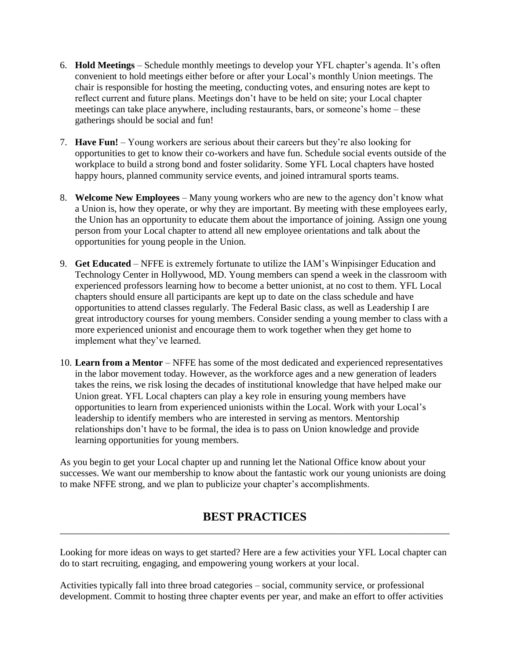- 6. **Hold Meetings** Schedule monthly meetings to develop your YFL chapter's agenda. It's often convenient to hold meetings either before or after your Local's monthly Union meetings. The chair is responsible for hosting the meeting, conducting votes, and ensuring notes are kept to reflect current and future plans. Meetings don't have to be held on site; your Local chapter meetings can take place anywhere, including restaurants, bars, or someone's home – these gatherings should be social and fun!
- 7. **Have Fun!** Young workers are serious about their careers but they're also looking for opportunities to get to know their co-workers and have fun. Schedule social events outside of the workplace to build a strong bond and foster solidarity. Some YFL Local chapters have hosted happy hours, planned community service events, and joined intramural sports teams.
- 8. **Welcome New Employees** Many young workers who are new to the agency don't know what a Union is, how they operate, or why they are important. By meeting with these employees early, the Union has an opportunity to educate them about the importance of joining. Assign one young person from your Local chapter to attend all new employee orientations and talk about the opportunities for young people in the Union.
- 9. **Get Educated** NFFE is extremely fortunate to utilize the IAM's Winpisinger Education and Technology Center in Hollywood, MD. Young members can spend a week in the classroom with experienced professors learning how to become a better unionist, at no cost to them. YFL Local chapters should ensure all participants are kept up to date on the class schedule and have opportunities to attend classes regularly. The Federal Basic class, as well as Leadership I are great introductory courses for young members. Consider sending a young member to class with a more experienced unionist and encourage them to work together when they get home to implement what they've learned.
- 10. **Learn from a Mentor** NFFE has some of the most dedicated and experienced representatives in the labor movement today. However, as the workforce ages and a new generation of leaders takes the reins, we risk losing the decades of institutional knowledge that have helped make our Union great. YFL Local chapters can play a key role in ensuring young members have opportunities to learn from experienced unionists within the Local. Work with your Local's leadership to identify members who are interested in serving as mentors. Mentorship relationships don't have to be formal, the idea is to pass on Union knowledge and provide learning opportunities for young members.

As you begin to get your Local chapter up and running let the National Office know about your successes. We want our membership to know about the fantastic work our young unionists are doing to make NFFE strong, and we plan to publicize your chapter's accomplishments.

## **BEST PRACTICES** \_\_\_\_\_\_\_\_\_\_\_\_\_\_\_\_\_\_\_\_\_\_\_\_\_\_\_\_\_\_\_\_\_\_\_\_\_\_\_\_\_\_\_\_\_\_\_\_\_\_\_\_\_\_\_\_\_\_\_\_\_\_\_\_\_\_\_\_\_\_\_\_\_\_\_\_\_\_

Looking for more ideas on ways to get started? Here are a few activities your YFL Local chapter can do to start recruiting, engaging, and empowering young workers at your local.

Activities typically fall into three broad categories – social, community service, or professional development. Commit to hosting three chapter events per year, and make an effort to offer activities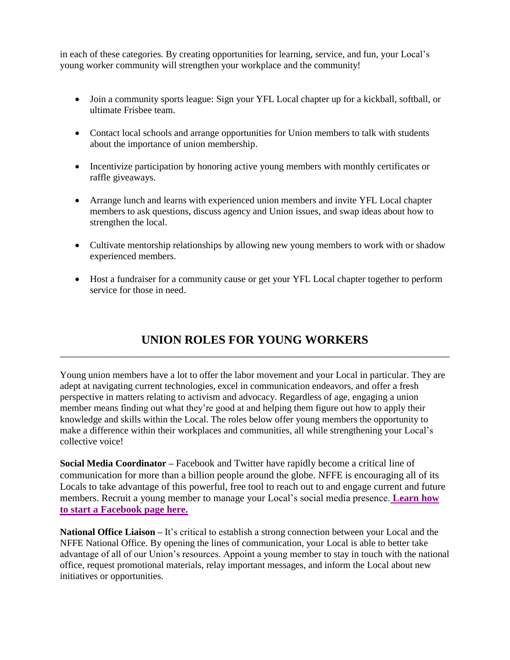in each of these categories. By creating opportunities for learning, service, and fun, your Local's young worker community will strengthen your workplace and the community!

- Join a community sports league: Sign your YFL Local chapter up for a kickball, softball, or ultimate Frisbee team.
- Contact local schools and arrange opportunities for Union members to talk with students about the importance of union membership.
- Incentivize participation by honoring active young members with monthly certificates or raffle giveaways.
- Arrange lunch and learns with experienced union members and invite YFL Local chapter members to ask questions, discuss agency and Union issues, and swap ideas about how to strengthen the local.
- Cultivate mentorship relationships by allowing new young members to work with or shadow experienced members.
- Host a fundraiser for a community cause or get your YFL Local chapter together to perform service for those in need.

## **UNION ROLES FOR YOUNG WORKERS** \_\_\_\_\_\_\_\_\_\_\_\_\_\_\_\_\_\_\_\_\_\_\_\_\_\_\_\_\_\_\_\_\_\_\_\_\_\_\_\_\_\_\_\_\_\_\_\_\_\_\_\_\_\_\_\_\_\_\_\_\_\_\_\_\_\_\_\_\_\_\_\_\_\_\_\_\_\_

Young union members have a lot to offer the labor movement and your Local in particular. They are adept at navigating current technologies, excel in communication endeavors, and offer a fresh perspective in matters relating to activism and advocacy. Regardless of age, engaging a union member means finding out what they're good at and helping them figure out how to apply their knowledge and skills within the Local. The roles below offer young members the opportunity to make a difference within their workplaces and communities, all while strengthening your Local's collective voice!

**Social Media Coordinator –** Facebook and Twitter have rapidly become a critical line of communication for more than a billion people around the globe. NFFE is encouraging all of its Locals to take advantage of this powerful, free tool to reach out to and engage current and future members. Recruit a young member to manage your Local's social media presence. **[Learn how](http://www.nffe.org/ht/a/GetDocumentAction/i/64424)  [to start a Facebook page here.](http://www.nffe.org/ht/a/GetDocumentAction/i/64424)**

**National Office Liaison –** It's critical to establish a strong connection between your Local and the NFFE National Office. By opening the lines of communication, your Local is able to better take advantage of all of our Union's resources. Appoint a young member to stay in touch with the national office, request promotional materials, relay important messages, and inform the Local about new initiatives or opportunities.